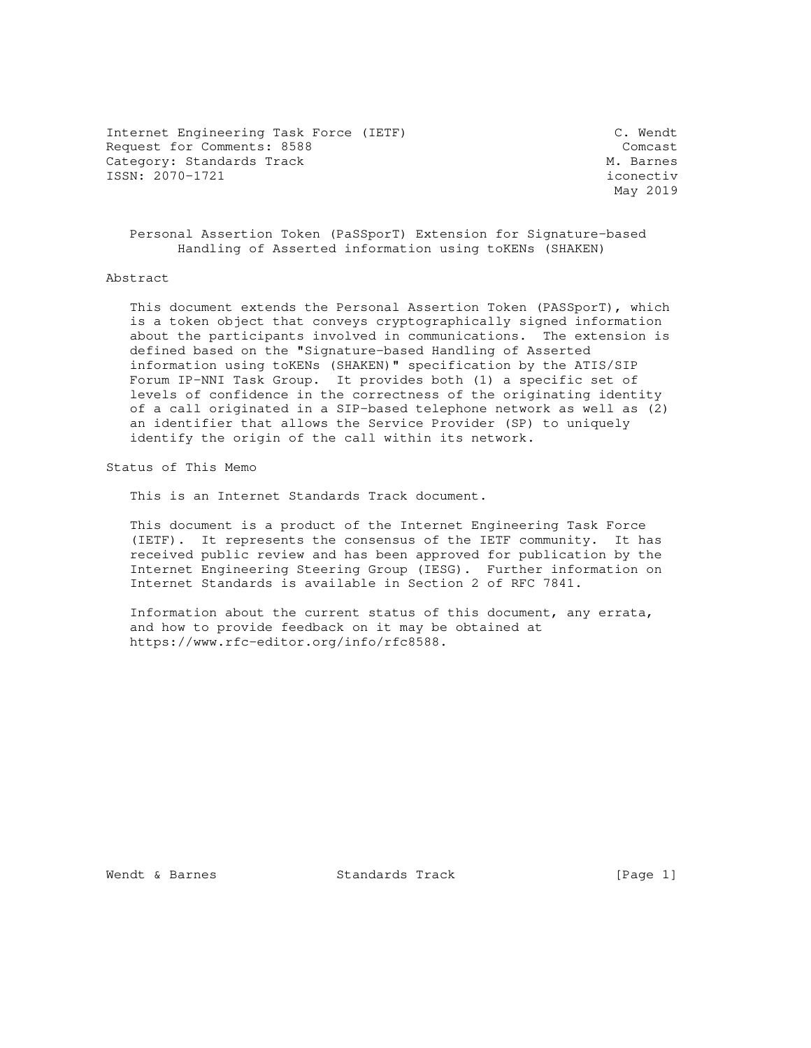Internet Engineering Task Force (IETF) C. Wendt Request for Comments: 8588 Comcast Category: Standards Track Metal Metal Metal Metal Metal Metal Metal Metal Metal Metal Metal Metal Metal Metal ISSN: 2070-1721 iconectiv

May 2019

 Personal Assertion Token (PaSSporT) Extension for Signature-based Handling of Asserted information using toKENs (SHAKEN)

### Abstract

 This document extends the Personal Assertion Token (PASSporT), which is a token object that conveys cryptographically signed information about the participants involved in communications. The extension is defined based on the "Signature-based Handling of Asserted information using toKENs (SHAKEN)" specification by the ATIS/SIP Forum IP-NNI Task Group. It provides both (1) a specific set of levels of confidence in the correctness of the originating identity of a call originated in a SIP-based telephone network as well as (2) an identifier that allows the Service Provider (SP) to uniquely identify the origin of the call within its network.

Status of This Memo

This is an Internet Standards Track document.

 This document is a product of the Internet Engineering Task Force (IETF). It represents the consensus of the IETF community. It has received public review and has been approved for publication by the Internet Engineering Steering Group (IESG). Further information on Internet Standards is available in Section 2 of RFC 7841.

 Information about the current status of this document, any errata, and how to provide feedback on it may be obtained at https://www.rfc-editor.org/info/rfc8588.

Wendt & Barnes Standards Track [Page 1]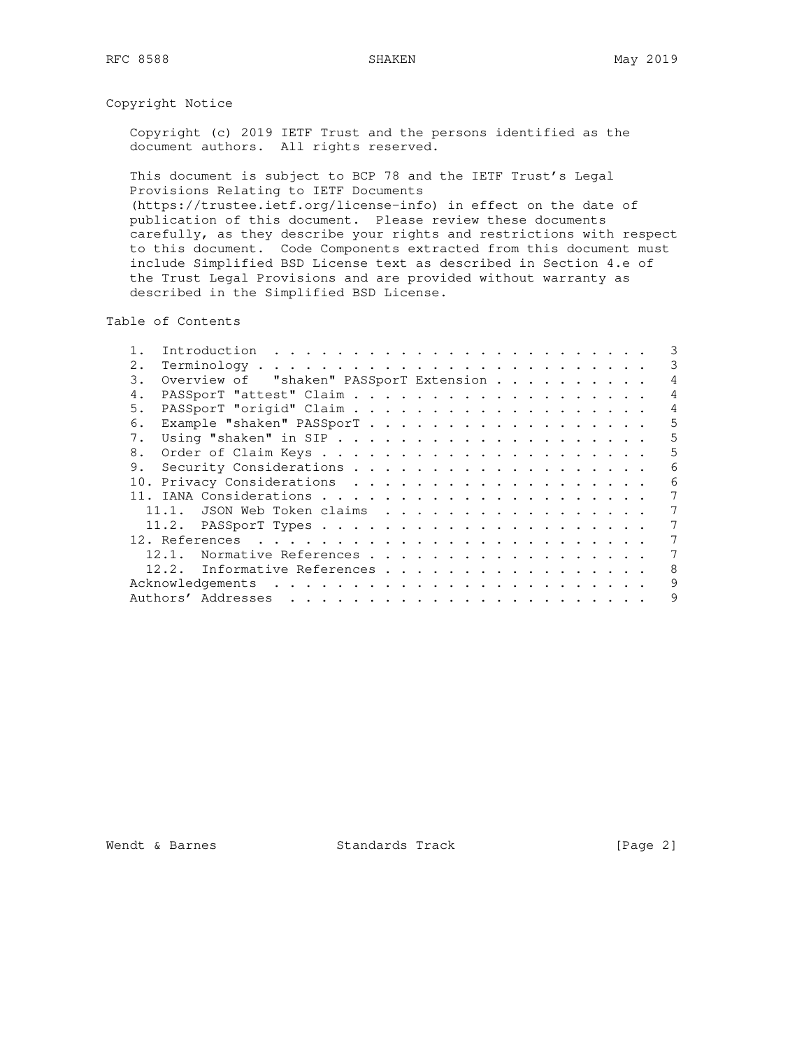# Copyright Notice

 Copyright (c) 2019 IETF Trust and the persons identified as the document authors. All rights reserved.

 This document is subject to BCP 78 and the IETF Trust's Legal Provisions Relating to IETF Documents (https://trustee.ietf.org/license-info) in effect on the date of publication of this document. Please review these documents carefully, as they describe your rights and restrictions with respect to this document. Code Components extracted from this document must include Simplified BSD License text as described in Section 4.e of the Trust Legal Provisions and are provided without warranty as described in the Simplified BSD License.

Table of Contents

| 2.          |                                                                          | 3              |
|-------------|--------------------------------------------------------------------------|----------------|
| 3.          | Overview of "shaken" PASSporT Extension                                  | $\overline{4}$ |
| 4.          |                                                                          | $\overline{4}$ |
| 5.          |                                                                          | 4              |
| 6.          | Example "shaken" PASSporT                                                | 5              |
| $7_{\odot}$ |                                                                          | 5              |
| 8.          |                                                                          | 5              |
|             |                                                                          | 6              |
|             |                                                                          | 6              |
|             |                                                                          |                |
|             | 11.1. JSON Web Token claims                                              |                |
|             |                                                                          | 7              |
|             | 12. References $\ldots \ldots \ldots \ldots \ldots \ldots \ldots \ldots$ | 7              |
|             | Normative References<br>12.1.                                            | 7              |
|             | 12.2. Informative References                                             | 8              |
|             |                                                                          | 9              |
|             |                                                                          | 9              |

Wendt & Barnes Standards Track [Page 2]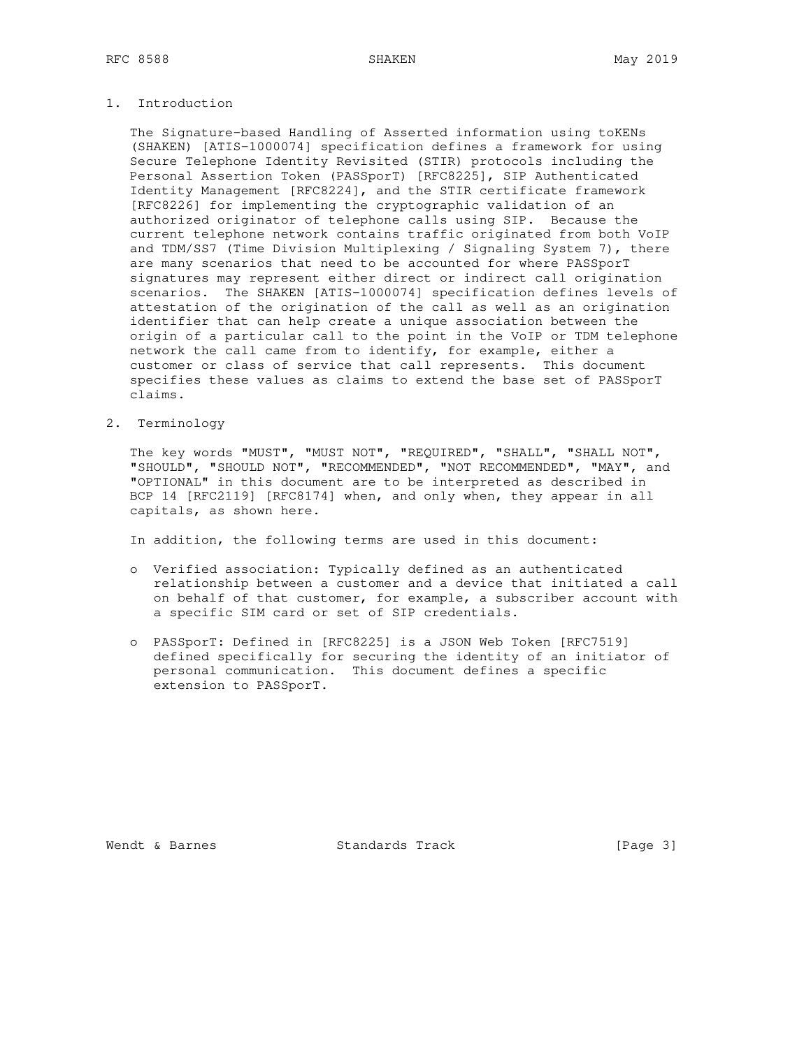# 1. Introduction

 The Signature-based Handling of Asserted information using toKENs (SHAKEN) [ATIS-1000074] specification defines a framework for using Secure Telephone Identity Revisited (STIR) protocols including the Personal Assertion Token (PASSporT) [RFC8225], SIP Authenticated Identity Management [RFC8224], and the STIR certificate framework [RFC8226] for implementing the cryptographic validation of an authorized originator of telephone calls using SIP. Because the current telephone network contains traffic originated from both VoIP and TDM/SS7 (Time Division Multiplexing / Signaling System 7), there are many scenarios that need to be accounted for where PASSporT signatures may represent either direct or indirect call origination scenarios. The SHAKEN [ATIS-1000074] specification defines levels of attestation of the origination of the call as well as an origination identifier that can help create a unique association between the origin of a particular call to the point in the VoIP or TDM telephone network the call came from to identify, for example, either a customer or class of service that call represents. This document specifies these values as claims to extend the base set of PASSporT claims.

2. Terminology

 The key words "MUST", "MUST NOT", "REQUIRED", "SHALL", "SHALL NOT", "SHOULD", "SHOULD NOT", "RECOMMENDED", "NOT RECOMMENDED", "MAY", and "OPTIONAL" in this document are to be interpreted as described in BCP 14 [RFC2119] [RFC8174] when, and only when, they appear in all capitals, as shown here.

In addition, the following terms are used in this document:

- o Verified association: Typically defined as an authenticated relationship between a customer and a device that initiated a call on behalf of that customer, for example, a subscriber account with a specific SIM card or set of SIP credentials.
- o PASSporT: Defined in [RFC8225] is a JSON Web Token [RFC7519] defined specifically for securing the identity of an initiator of personal communication. This document defines a specific extension to PASSporT.

Wendt & Barnes **Standards Track** [Page 3]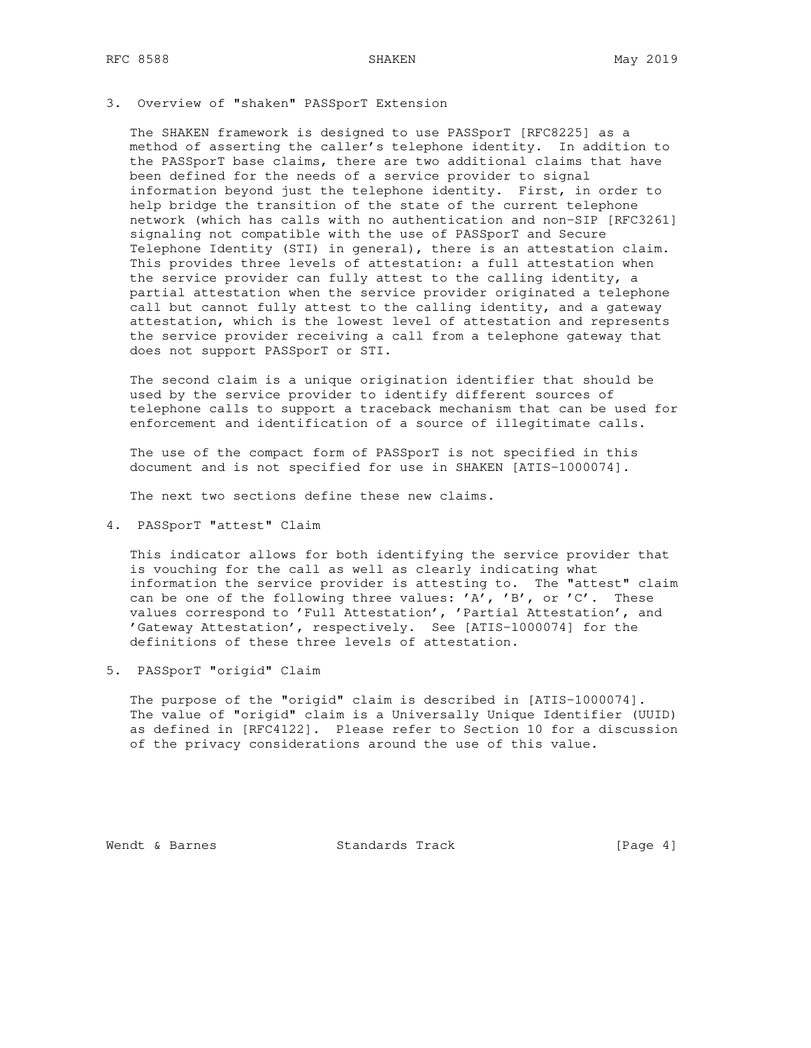### 3. Overview of "shaken" PASSporT Extension

 The SHAKEN framework is designed to use PASSporT [RFC8225] as a method of asserting the caller's telephone identity. In addition to the PASSporT base claims, there are two additional claims that have been defined for the needs of a service provider to signal information beyond just the telephone identity. First, in order to help bridge the transition of the state of the current telephone network (which has calls with no authentication and non-SIP [RFC3261] signaling not compatible with the use of PASSporT and Secure Telephone Identity (STI) in general), there is an attestation claim. This provides three levels of attestation: a full attestation when the service provider can fully attest to the calling identity, a partial attestation when the service provider originated a telephone call but cannot fully attest to the calling identity, and a gateway attestation, which is the lowest level of attestation and represents the service provider receiving a call from a telephone gateway that does not support PASSporT or STI.

 The second claim is a unique origination identifier that should be used by the service provider to identify different sources of telephone calls to support a traceback mechanism that can be used for enforcement and identification of a source of illegitimate calls.

 The use of the compact form of PASSporT is not specified in this document and is not specified for use in SHAKEN [ATIS-1000074].

The next two sections define these new claims.

4. PASSporT "attest" Claim

 This indicator allows for both identifying the service provider that is vouching for the call as well as clearly indicating what information the service provider is attesting to. The "attest" claim can be one of the following three values: 'A', 'B', or 'C'. These values correspond to 'Full Attestation', 'Partial Attestation', and 'Gateway Attestation', respectively. See [ATIS-1000074] for the definitions of these three levels of attestation.

5. PASSporT "origid" Claim

 The purpose of the "origid" claim is described in [ATIS-1000074]. The value of "origid" claim is a Universally Unique Identifier (UUID) as defined in [RFC4122]. Please refer to Section 10 for a discussion of the privacy considerations around the use of this value.

Wendt & Barnes Standards Track [Page 4]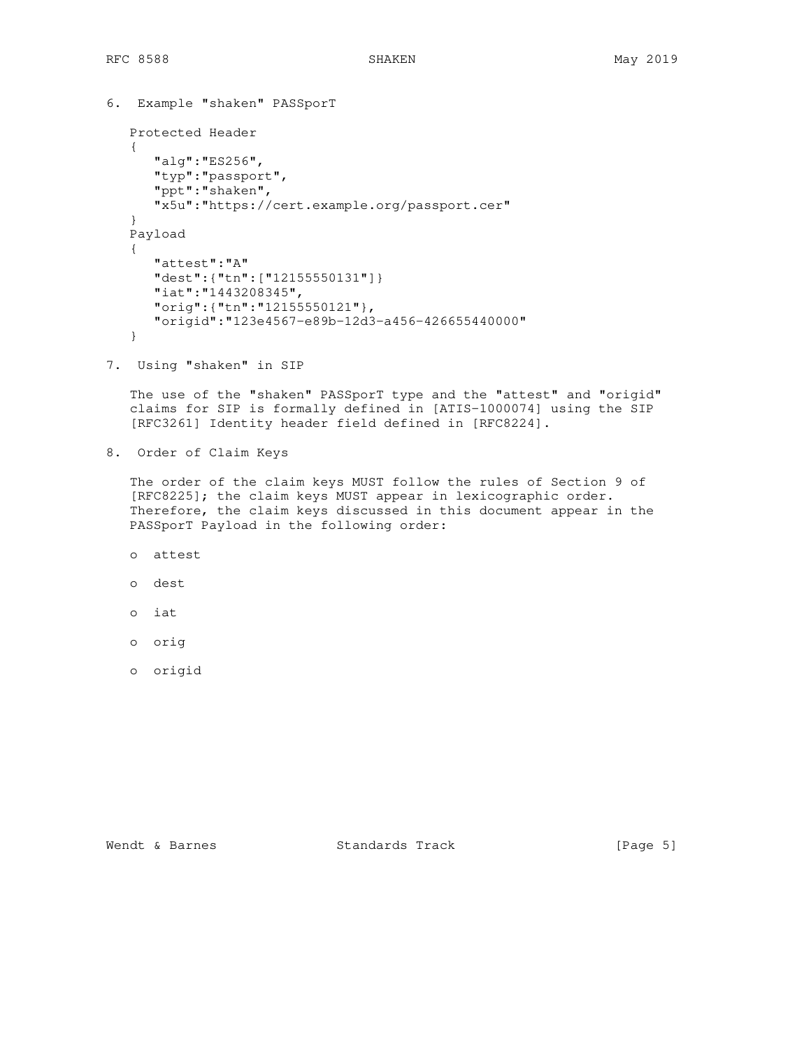```
6. Example "shaken" PASSporT
 Protected Header
 {
    "alg":"ES256",
    "typ":"passport",
    "ppt":"shaken",
    "x5u":"https://cert.example.org/passport.cer"
 }
Payload
 {
    "attest":"A"
    "dest":{"tn":["12155550131"]}
    "iat":"1443208345",
    "orig":{"tn":"12155550121"},
    "origid":"123e4567-e89b-12d3-a456-426655440000"
```
}

7. Using "shaken" in SIP

 The use of the "shaken" PASSporT type and the "attest" and "origid" claims for SIP is formally defined in [ATIS-1000074] using the SIP [RFC3261] Identity header field defined in [RFC8224].

8. Order of Claim Keys

 The order of the claim keys MUST follow the rules of Section 9 of [RFC8225]; the claim keys MUST appear in lexicographic order. Therefore, the claim keys discussed in this document appear in the PASSporT Payload in the following order:

- o attest
- o dest
- o iat
- o orig
- o origid

Wendt & Barnes **Standards Track** [Page 5]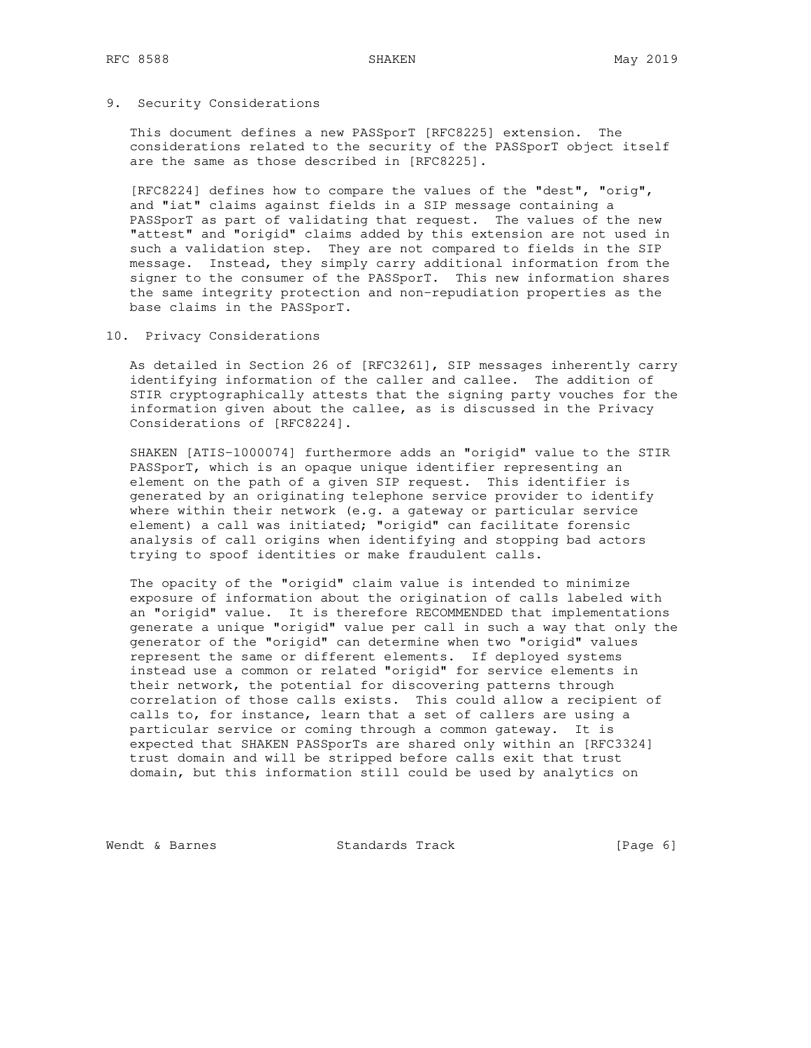### 9. Security Considerations

 This document defines a new PASSporT [RFC8225] extension. The considerations related to the security of the PASSporT object itself are the same as those described in [RFC8225].

 [RFC8224] defines how to compare the values of the "dest", "orig", and "iat" claims against fields in a SIP message containing a PASSporT as part of validating that request. The values of the new "attest" and "origid" claims added by this extension are not used in such a validation step. They are not compared to fields in the SIP message. Instead, they simply carry additional information from the signer to the consumer of the PASSporT. This new information shares the same integrity protection and non-repudiation properties as the base claims in the PASSporT.

10. Privacy Considerations

 As detailed in Section 26 of [RFC3261], SIP messages inherently carry identifying information of the caller and callee. The addition of STIR cryptographically attests that the signing party vouches for the information given about the callee, as is discussed in the Privacy Considerations of [RFC8224].

 SHAKEN [ATIS-1000074] furthermore adds an "origid" value to the STIR PASSporT, which is an opaque unique identifier representing an element on the path of a given SIP request. This identifier is generated by an originating telephone service provider to identify where within their network (e.g. a gateway or particular service element) a call was initiated; "origid" can facilitate forensic analysis of call origins when identifying and stopping bad actors trying to spoof identities or make fraudulent calls.

 The opacity of the "origid" claim value is intended to minimize exposure of information about the origination of calls labeled with an "origid" value. It is therefore RECOMMENDED that implementations generate a unique "origid" value per call in such a way that only the generator of the "origid" can determine when two "origid" values represent the same or different elements. If deployed systems instead use a common or related "origid" for service elements in their network, the potential for discovering patterns through correlation of those calls exists. This could allow a recipient of calls to, for instance, learn that a set of callers are using a particular service or coming through a common gateway. It is expected that SHAKEN PASSporTs are shared only within an [RFC3324] trust domain and will be stripped before calls exit that trust domain, but this information still could be used by analytics on

Wendt & Barnes Standards Track [Page 6]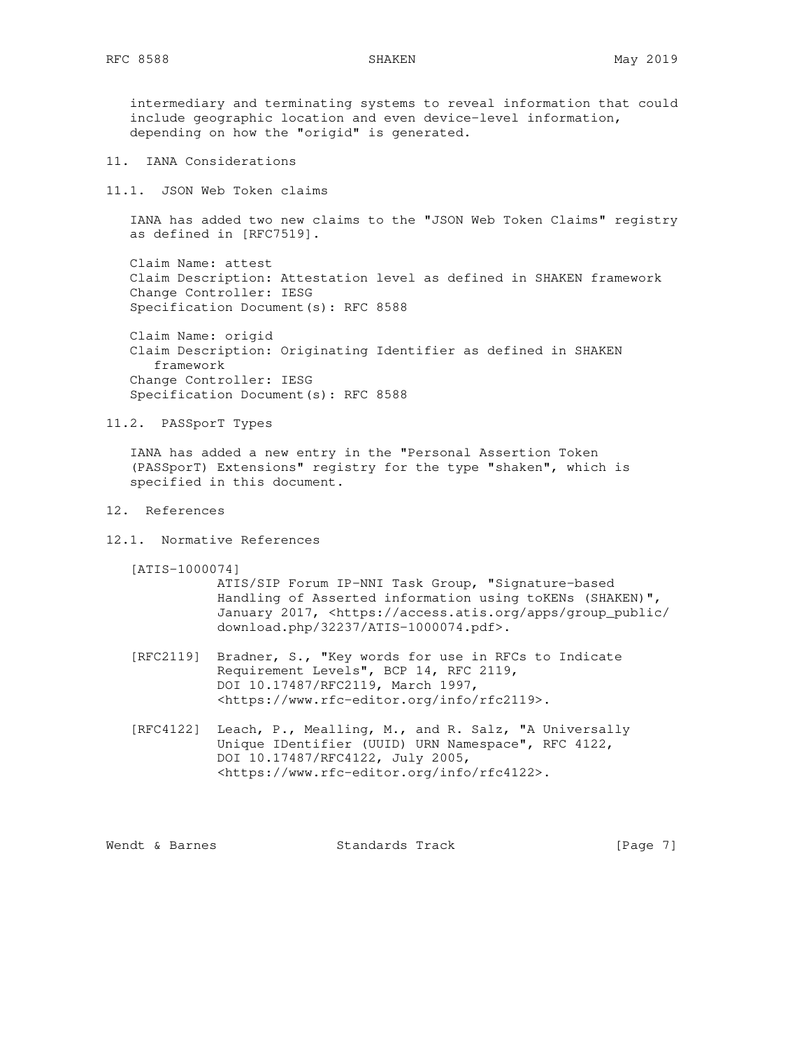intermediary and terminating systems to reveal information that could include geographic location and even device-level information, depending on how the "origid" is generated.

- 11. IANA Considerations
- 11.1. JSON Web Token claims

 IANA has added two new claims to the "JSON Web Token Claims" registry as defined in [RFC7519].

 Claim Name: attest Claim Description: Attestation level as defined in SHAKEN framework Change Controller: IESG Specification Document(s): RFC 8588

 Claim Name: origid Claim Description: Originating Identifier as defined in SHAKEN framework Change Controller: IESG Specification Document(s): RFC 8588

11.2. PASSporT Types

 IANA has added a new entry in the "Personal Assertion Token (PASSporT) Extensions" registry for the type "shaken", which is specified in this document.

- 12. References
- 12.1. Normative References
	- [ATIS-1000074]

 ATIS/SIP Forum IP-NNI Task Group, "Signature-based Handling of Asserted information using toKENs (SHAKEN)", January 2017, <https://access.atis.org/apps/group\_public/ download.php/32237/ATIS-1000074.pdf>.

- [RFC2119] Bradner, S., "Key words for use in RFCs to Indicate Requirement Levels", BCP 14, RFC 2119, DOI 10.17487/RFC2119, March 1997, <https://www.rfc-editor.org/info/rfc2119>.
- [RFC4122] Leach, P., Mealling, M., and R. Salz, "A Universally Unique IDentifier (UUID) URN Namespace", RFC 4122, DOI 10.17487/RFC4122, July 2005, <https://www.rfc-editor.org/info/rfc4122>.

Wendt & Barnes **Standards Track** [Page 7]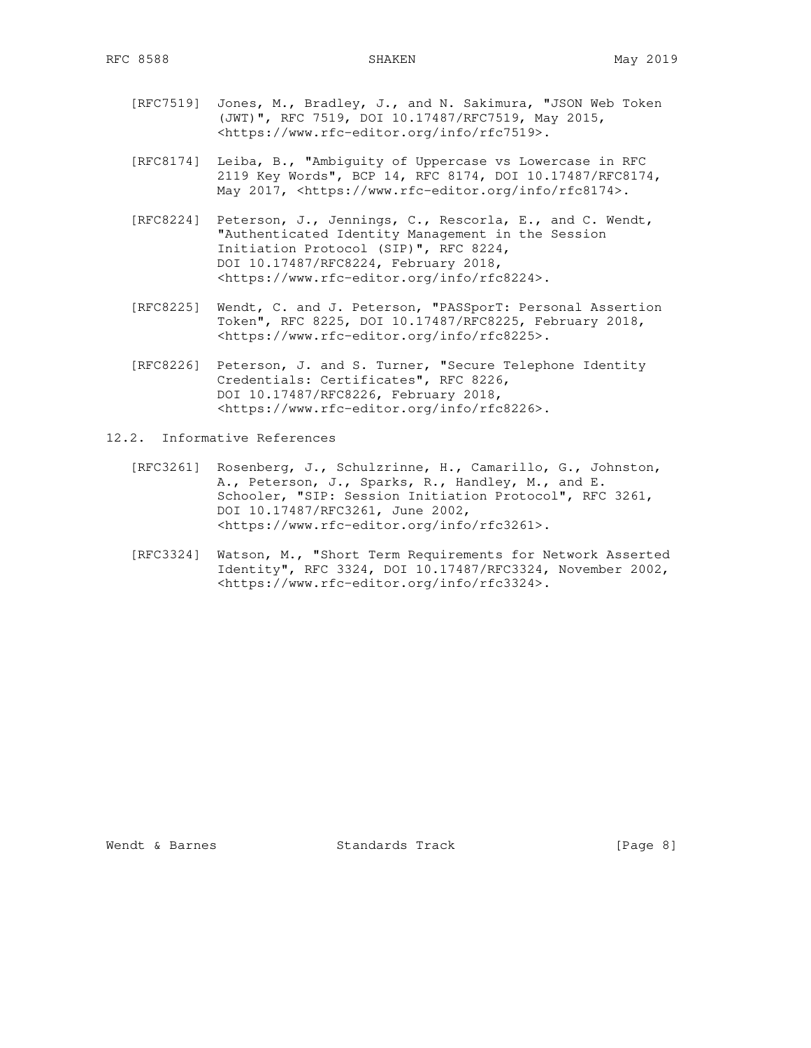- [RFC7519] Jones, M., Bradley, J., and N. Sakimura, "JSON Web Token (JWT)", RFC 7519, DOI 10.17487/RFC7519, May 2015, <https://www.rfc-editor.org/info/rfc7519>.
- [RFC8174] Leiba, B., "Ambiguity of Uppercase vs Lowercase in RFC 2119 Key Words", BCP 14, RFC 8174, DOI 10.17487/RFC8174, May 2017, <https://www.rfc-editor.org/info/rfc8174>.
- [RFC8224] Peterson, J., Jennings, C., Rescorla, E., and C. Wendt, "Authenticated Identity Management in the Session Initiation Protocol (SIP)", RFC 8224, DOI 10.17487/RFC8224, February 2018, <https://www.rfc-editor.org/info/rfc8224>.
- [RFC8225] Wendt, C. and J. Peterson, "PASSporT: Personal Assertion Token", RFC 8225, DOI 10.17487/RFC8225, February 2018, <https://www.rfc-editor.org/info/rfc8225>.
- [RFC8226] Peterson, J. and S. Turner, "Secure Telephone Identity Credentials: Certificates", RFC 8226, DOI 10.17487/RFC8226, February 2018, <https://www.rfc-editor.org/info/rfc8226>.
- 12.2. Informative References
	- [RFC3261] Rosenberg, J., Schulzrinne, H., Camarillo, G., Johnston, A., Peterson, J., Sparks, R., Handley, M., and E. Schooler, "SIP: Session Initiation Protocol", RFC 3261, DOI 10.17487/RFC3261, June 2002, <https://www.rfc-editor.org/info/rfc3261>.
	- [RFC3324] Watson, M., "Short Term Requirements for Network Asserted Identity", RFC 3324, DOI 10.17487/RFC3324, November 2002, <https://www.rfc-editor.org/info/rfc3324>.

Wendt & Barnes **Standards Track** [Page 8]